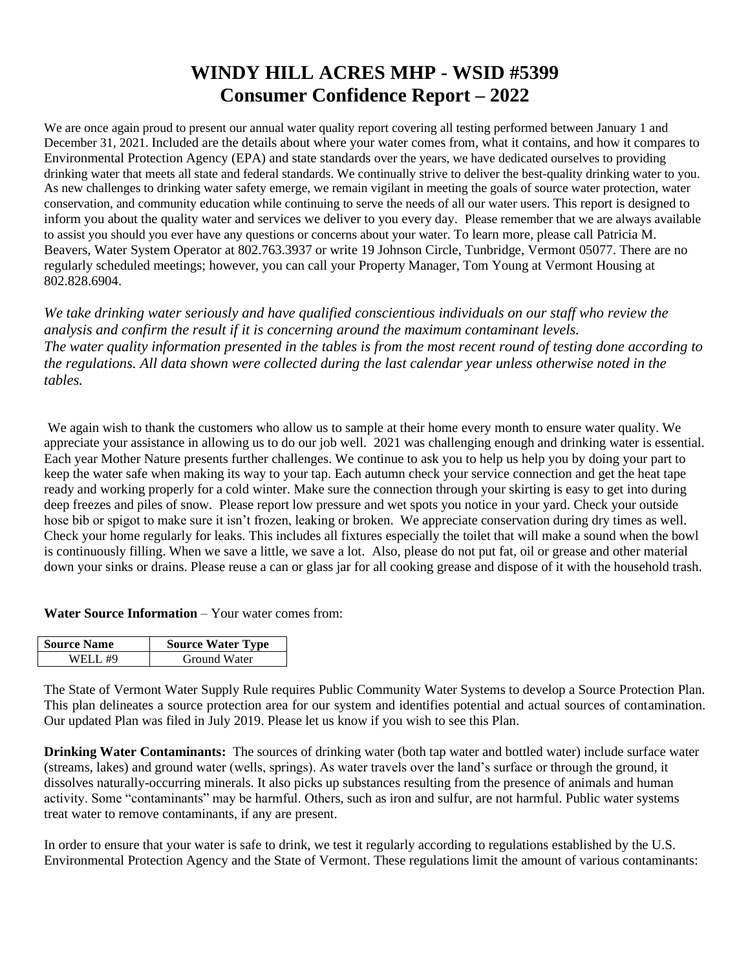# **WINDY HILL ACRES MHP - WSID #5399 Consumer Confidence Report – 2022**

We are once again proud to present our annual water quality report covering all testing performed between January 1 and December 31, 2021. Included are the details about where your water comes from, what it contains, and how it compares to Environmental Protection Agency (EPA) and state standards over the years, we have dedicated ourselves to providing drinking water that meets all state and federal standards. We continually strive to deliver the best-quality drinking water to you. As new challenges to drinking water safety emerge, we remain vigilant in meeting the goals of source water protection, water conservation, and community education while continuing to serve the needs of all our water users. This report is designed to inform you about the quality water and services we deliver to you every day. Please remember that we are always available to assist you should you ever have any questions or concerns about your water. To learn more, please call Patricia M. Beavers, Water System Operator at 802.763.3937 or write 19 Johnson Circle, Tunbridge, Vermont 05077. There are no regularly scheduled meetings; however, you can call your Property Manager, Tom Young at Vermont Housing at 802.828.6904.

*We take drinking water seriously and have qualified conscientious individuals on our staff who review the analysis and confirm the result if it is concerning around the maximum contaminant levels. The water quality information presented in the tables is from the most recent round of testing done according to the regulations. All data shown were collected during the last calendar year unless otherwise noted in the tables.* 

We again wish to thank the customers who allow us to sample at their home every month to ensure water quality. We appreciate your assistance in allowing us to do our job well. 2021 was challenging enough and drinking water is essential. Each year Mother Nature presents further challenges. We continue to ask you to help us help you by doing your part to keep the water safe when making its way to your tap. Each autumn check your service connection and get the heat tape ready and working properly for a cold winter. Make sure the connection through your skirting is easy to get into during deep freezes and piles of snow. Please report low pressure and wet spots you notice in your yard. Check your outside hose bib or spigot to make sure it isn't frozen, leaking or broken. We appreciate conservation during dry times as well. Check your home regularly for leaks. This includes all fixtures especially the toilet that will make a sound when the bowl is continuously filling. When we save a little, we save a lot. Also, please do not put fat, oil or grease and other material down your sinks or drains. Please reuse a can or glass jar for all cooking grease and dispose of it with the household trash.

**Water Source Information** – Your water comes from:

| <b>Source Name</b> | <b>Source Water Type</b> |  |  |  |  |  |
|--------------------|--------------------------|--|--|--|--|--|
| WELL #9            | Ground Water             |  |  |  |  |  |

The State of Vermont Water Supply Rule requires Public Community Water Systems to develop a Source Protection Plan. This plan delineates a source protection area for our system and identifies potential and actual sources of contamination. Our updated Plan was filed in July 2019. Please let us know if you wish to see this Plan.

**Drinking Water Contaminants:** The sources of drinking water (both tap water and bottled water) include surface water (streams, lakes) and ground water (wells, springs). As water travels over the land's surface or through the ground, it dissolves naturally-occurring minerals. It also picks up substances resulting from the presence of animals and human activity. Some "contaminants" may be harmful. Others, such as iron and sulfur, are not harmful. Public water systems treat water to remove contaminants, if any are present.

In order to ensure that your water is safe to drink, we test it regularly according to regulations established by the U.S. Environmental Protection Agency and the State of Vermont. These regulations limit the amount of various contaminants: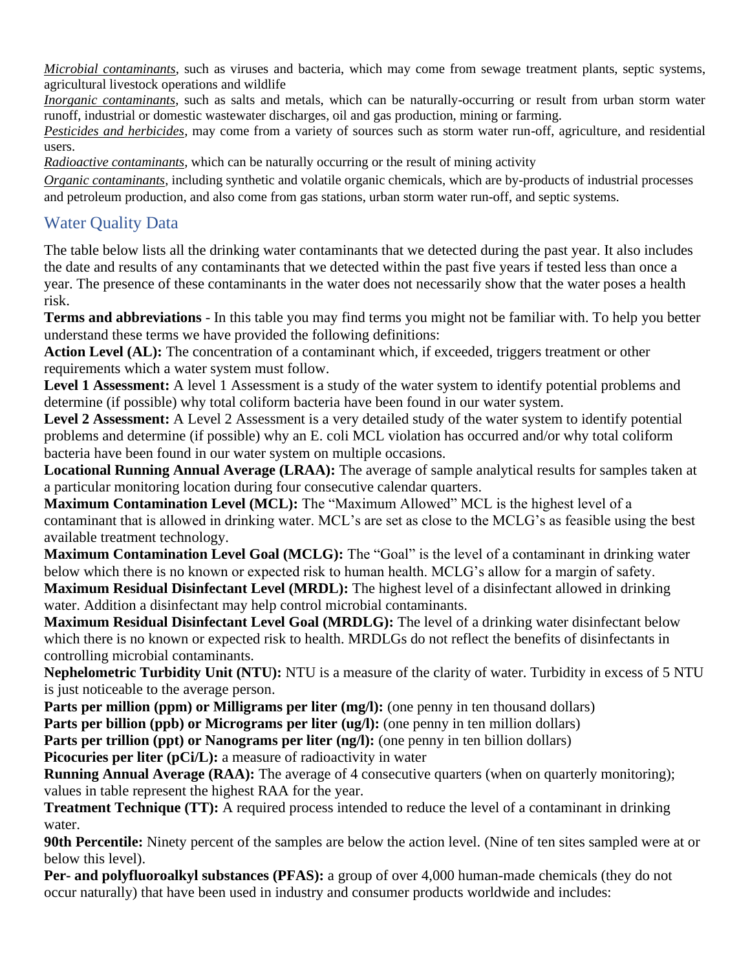*Microbial contaminants*, such as viruses and bacteria, which may come from sewage treatment plants, septic systems, agricultural livestock operations and wildlife

*Inorganic contaminants*, such as salts and metals, which can be naturally-occurring or result from urban storm water runoff, industrial or domestic wastewater discharges, oil and gas production, mining or farming.

*Pesticides and herbicides*, may come from a variety of sources such as storm water run-off, agriculture, and residential users.

*Radioactive contaminants*, which can be naturally occurring or the result of mining activity

*Organic contaminants*, including synthetic and volatile organic chemicals, which are by-products of industrial processes and petroleum production, and also come from gas stations, urban storm water run-off, and septic systems.

# Water Quality Data

The table below lists all the drinking water contaminants that we detected during the past year. It also includes the date and results of any contaminants that we detected within the past five years if tested less than once a year. The presence of these contaminants in the water does not necessarily show that the water poses a health risk.

**Terms and abbreviations** - In this table you may find terms you might not be familiar with. To help you better understand these terms we have provided the following definitions:

Action Level (AL): The concentration of a contaminant which, if exceeded, triggers treatment or other requirements which a water system must follow.

**Level 1 Assessment:** A level 1 Assessment is a study of the water system to identify potential problems and determine (if possible) why total coliform bacteria have been found in our water system.

**Level 2 Assessment:** A Level 2 Assessment is a very detailed study of the water system to identify potential problems and determine (if possible) why an E. coli MCL violation has occurred and/or why total coliform bacteria have been found in our water system on multiple occasions.

**Locational Running Annual Average (LRAA):** The average of sample analytical results for samples taken at a particular monitoring location during four consecutive calendar quarters.

**Maximum Contamination Level (MCL):** The "Maximum Allowed" MCL is the highest level of a contaminant that is allowed in drinking water. MCL's are set as close to the MCLG's as feasible using the best available treatment technology.

**Maximum Contamination Level Goal (MCLG):** The "Goal" is the level of a contaminant in drinking water below which there is no known or expected risk to human health. MCLG's allow for a margin of safety.

**Maximum Residual Disinfectant Level (MRDL):** The highest level of a disinfectant allowed in drinking water. Addition a disinfectant may help control microbial contaminants.

**Maximum Residual Disinfectant Level Goal (MRDLG):** The level of a drinking water disinfectant below which there is no known or expected risk to health. MRDLGs do not reflect the benefits of disinfectants in controlling microbial contaminants.

**Nephelometric Turbidity Unit (NTU):** NTU is a measure of the clarity of water. Turbidity in excess of 5 NTU is just noticeable to the average person.

**Parts per million (ppm) or Milligrams per liter (mg/l):** (one penny in ten thousand dollars)

**Parts per billion (ppb) or Micrograms per liter (ug/l):** (one penny in ten million dollars)

Parts per trillion (ppt) or Nanograms per liter (ng/l): (one penny in ten billion dollars)

**Picocuries per liter (pCi/L):** a measure of radioactivity in water

**Running Annual Average (RAA):** The average of 4 consecutive quarters (when on quarterly monitoring); values in table represent the highest RAA for the year.

**Treatment Technique (TT):** A required process intended to reduce the level of a contaminant in drinking water.

**90th Percentile:** Ninety percent of the samples are below the action level. (Nine of ten sites sampled were at or below this level).

**Per- and polyfluoroalkyl substances (PFAS):** a group of over 4,000 human-made chemicals (they do not occur naturally) that have been used in industry and consumer products worldwide and includes: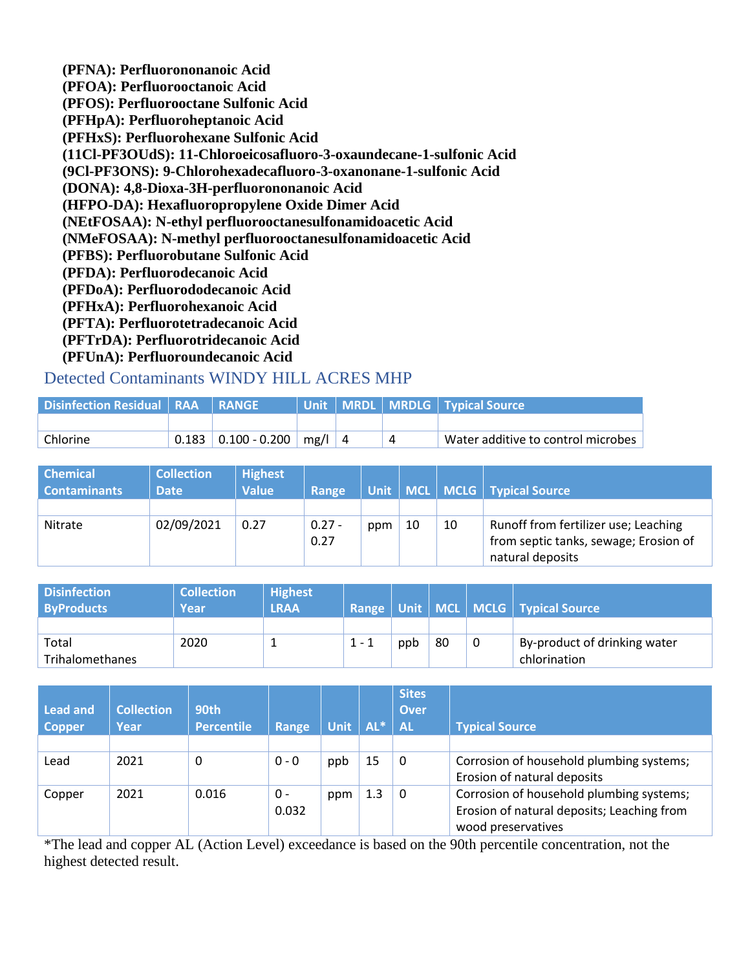**(PFNA): Perfluorononanoic Acid (PFOA): Perfluorooctanoic Acid (PFOS): Perfluorooctane Sulfonic Acid (PFHpA): Perfluoroheptanoic Acid (PFHxS): Perfluorohexane Sulfonic Acid (11Cl-PF3OUdS): 11-Chloroeicosafluoro-3-oxaundecane-1-sulfonic Acid (9Cl-PF3ONS): 9-Chlorohexadecafluoro-3-oxanonane-1-sulfonic Acid (DONA): 4,8-Dioxa-3H-perfluorononanoic Acid (HFPO-DA): Hexafluoropropylene Oxide Dimer Acid (NEtFOSAA): N-ethyl perfluorooctanesulfonamidoacetic Acid (NMeFOSAA): N-methyl perfluorooctanesulfonamidoacetic Acid (PFBS): Perfluorobutane Sulfonic Acid (PFDA): Perfluorodecanoic Acid (PFDoA): Perfluorododecanoic Acid (PFHxA): Perfluorohexanoic Acid (PFTA): Perfluorotetradecanoic Acid (PFTrDA): Perfluorotridecanoic Acid (PFUnA): Perfluoroundecanoic Acid**

### Detected Contaminants WINDY HILL ACRES MHP

| <b>Disinfection Residual   RAA   RANGE \</b> |                                           |  | Unit   MRDL   MRDLG   Typical Source |
|----------------------------------------------|-------------------------------------------|--|--------------------------------------|
|                                              |                                           |  |                                      |
| Chlorine                                     | $0.183 \mid 0.100 - 0.200 \mid mg/l \mid$ |  | Water additive to control microbes   |

| <b>Chemical</b>     | <b>Collection</b> | <b>Highest</b> |          |     |    |    |                                       |
|---------------------|-------------------|----------------|----------|-----|----|----|---------------------------------------|
| <b>Contaminants</b> | <b>Date</b>       | <b>Value</b>   | Range    |     |    |    | Unit   MCL   MCLG   Typical Source    |
|                     |                   |                |          |     |    |    |                                       |
| Nitrate             | 02/09/2021        | 0.27           | $0.27 -$ | ppm | 10 | 10 | Runoff from fertilizer use; Leaching  |
|                     |                   |                | 0.27     |     |    |    | from septic tanks, sewage; Erosion of |
|                     |                   |                |          |     |    |    | natural deposits                      |

| <b>Disinfection</b><br><b>ByProducts</b> | <b>Collection</b><br>Year | <b>Highest</b><br>LRAA |         |     |    |   | Range   Unit   MCL   MCLG   Typical Source |
|------------------------------------------|---------------------------|------------------------|---------|-----|----|---|--------------------------------------------|
|                                          |                           |                        |         |     |    |   |                                            |
| Total                                    | 2020                      |                        | $1 - 1$ | ppb | 80 | 0 | By-product of drinking water               |
| Trihalomethanes                          |                           |                        |         |     |    |   | chlorination                               |

| <b>Lead and</b><br><b>Copper</b> | <b>Collection</b><br>Year | 90th<br><b>Percentile</b> | Range   | <b>Unit</b> | $AL^*$ | <b>Sites</b><br>Over<br><b>AL</b> | <b>Typical Source</b>                      |
|----------------------------------|---------------------------|---------------------------|---------|-------------|--------|-----------------------------------|--------------------------------------------|
|                                  |                           |                           |         |             |        |                                   |                                            |
| Lead                             | 2021                      | 0                         | $0 - 0$ | ppb         | 15     | 0                                 | Corrosion of household plumbing systems;   |
|                                  |                           |                           |         |             |        |                                   | Erosion of natural deposits                |
| Copper                           | 2021                      | 0.016                     | 0 -     | ppm         | 1.3    | 0                                 | Corrosion of household plumbing systems;   |
|                                  |                           |                           | 0.032   |             |        |                                   | Erosion of natural deposits; Leaching from |
|                                  |                           |                           |         |             |        |                                   | wood preservatives                         |

\*The lead and copper AL (Action Level) exceedance is based on the 90th percentile concentration, not the highest detected result.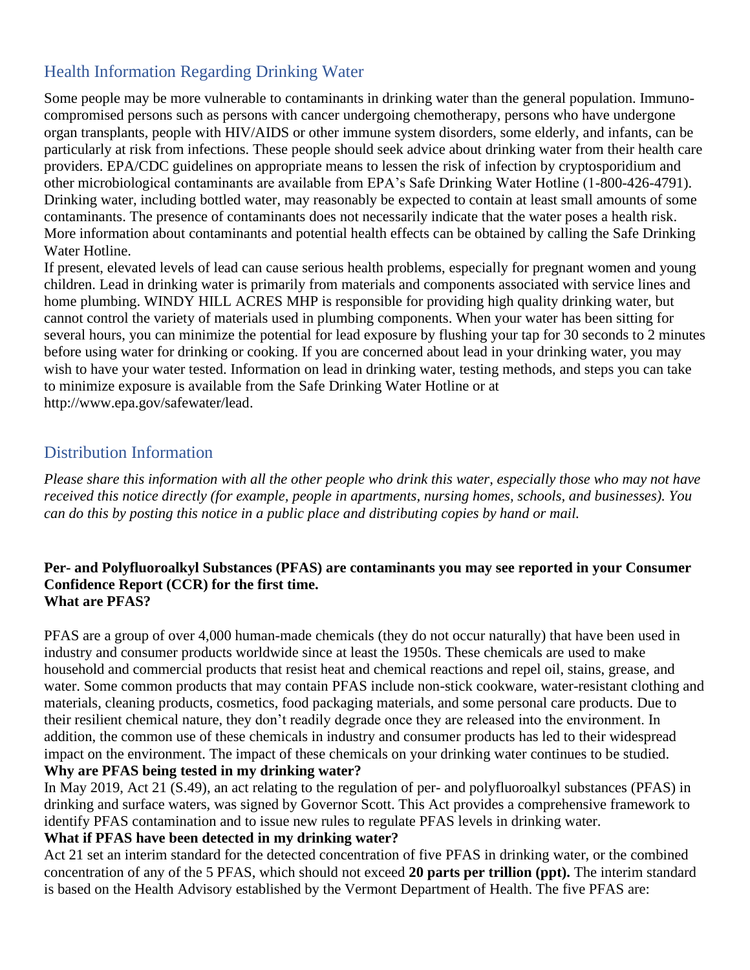# Health Information Regarding Drinking Water

Some people may be more vulnerable to contaminants in drinking water than the general population. Immunocompromised persons such as persons with cancer undergoing chemotherapy, persons who have undergone organ transplants, people with HIV/AIDS or other immune system disorders, some elderly, and infants, can be particularly at risk from infections. These people should seek advice about drinking water from their health care providers. EPA/CDC guidelines on appropriate means to lessen the risk of infection by cryptosporidium and other microbiological contaminants are available from EPA's Safe Drinking Water Hotline (1-800-426-4791). Drinking water, including bottled water, may reasonably be expected to contain at least small amounts of some contaminants. The presence of contaminants does not necessarily indicate that the water poses a health risk. More information about contaminants and potential health effects can be obtained by calling the Safe Drinking Water Hotline.

If present, elevated levels of lead can cause serious health problems, especially for pregnant women and young children. Lead in drinking water is primarily from materials and components associated with service lines and home plumbing. WINDY HILL ACRES MHP is responsible for providing high quality drinking water, but cannot control the variety of materials used in plumbing components. When your water has been sitting for several hours, you can minimize the potential for lead exposure by flushing your tap for 30 seconds to 2 minutes before using water for drinking or cooking. If you are concerned about lead in your drinking water, you may wish to have your water tested. Information on lead in drinking water, testing methods, and steps you can take to minimize exposure is available from the Safe Drinking Water Hotline or at [http://www.epa.gov/safewater/lead.](http://www.epa.gov/safewater/lead)

### Distribution Information

*Please share this information with all the other people who drink this water, especially those who may not have received this notice directly (for example, people in apartments, nursing homes, schools, and businesses). You can do this by posting this notice in a public place and distributing copies by hand or mail.*

#### **Per- and Polyfluoroalkyl Substances (PFAS) are contaminants you may see reported in your Consumer Confidence Report (CCR) for the first time. What are PFAS?**

PFAS are a group of over 4,000 human-made chemicals (they do not occur naturally) that have been used in industry and consumer products worldwide since at least the 1950s. These chemicals are used to make household and commercial products that resist heat and chemical reactions and repel oil, stains, grease, and water. Some common products that may contain PFAS include non-stick cookware, water-resistant clothing and materials, cleaning products, cosmetics, food packaging materials, and some personal care products. Due to their resilient chemical nature, they don't readily degrade once they are released into the environment. In addition, the common use of these chemicals in industry and consumer products has led to their widespread impact on the environment. The impact of these chemicals on your drinking water continues to be studied. **Why are PFAS being tested in my drinking water?**

In May 2019, Act 21 (S.49), an act relating to the regulation of per- and polyfluoroalkyl substances (PFAS) in drinking and surface waters, was signed by Governor Scott. This Act provides a comprehensive framework to identify PFAS contamination and to issue new rules to regulate PFAS levels in drinking water.

### **What if PFAS have been detected in my drinking water?**

Act 21 set an interim standard for the detected concentration of five PFAS in drinking water, or the combined concentration of any of the 5 PFAS, which should not exceed **20 parts per trillion (ppt).** The interim standard is based on the Health Advisory established by the Vermont Department of Health. The five PFAS are: